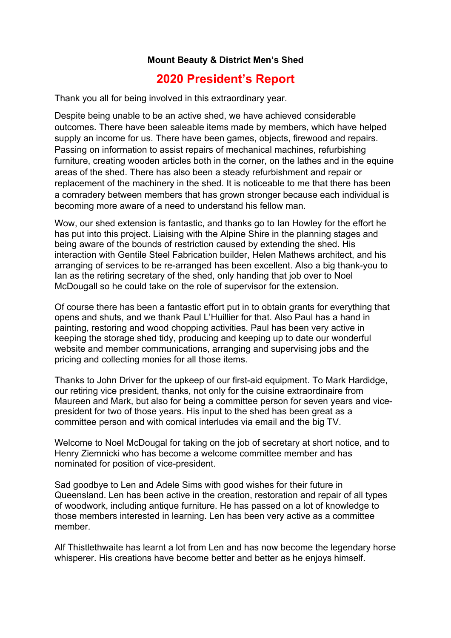## **Mount Beauty & District Men's Shed**

## **2020 President's Report**

Thank you all for being involved in this extraordinary year.

Despite being unable to be an active shed, we have achieved considerable outcomes. There have been saleable items made by members, which have helped supply an income for us. There have been games, objects, firewood and repairs. Passing on information to assist repairs of mechanical machines, refurbishing furniture, creating wooden articles both in the corner, on the lathes and in the equine areas of the shed. There has also been a steady refurbishment and repair or replacement of the machinery in the shed. It is noticeable to me that there has been a comradery between members that has grown stronger because each individual is becoming more aware of a need to understand his fellow man.

Wow, our shed extension is fantastic, and thanks go to Ian Howley for the effort he has put into this project. Liaising with the Alpine Shire in the planning stages and being aware of the bounds of restriction caused by extending the shed. His interaction with Gentile Steel Fabrication builder, Helen Mathews architect, and his arranging of services to be re-arranged has been excellent. Also a big thank-you to Ian as the retiring secretary of the shed, only handing that job over to Noel McDougall so he could take on the role of supervisor for the extension.

Of course there has been a fantastic effort put in to obtain grants for everything that opens and shuts, and we thank Paul L'Huillier for that. Also Paul has a hand in painting, restoring and wood chopping activities. Paul has been very active in keeping the storage shed tidy, producing and keeping up to date our wonderful website and member communications, arranging and supervising jobs and the pricing and collecting monies for all those items.

Thanks to John Driver for the upkeep of our first-aid equipment. To Mark Hardidge, our retiring vice president, thanks, not only for the cuisine extraordinaire from Maureen and Mark, but also for being a committee person for seven years and vicepresident for two of those years. His input to the shed has been great as a committee person and with comical interludes via email and the big TV.

Welcome to Noel McDougal for taking on the job of secretary at short notice, and to Henry Ziemnicki who has become a welcome committee member and has nominated for position of vice-president.

Sad goodbye to Len and Adele Sims with good wishes for their future in Queensland. Len has been active in the creation, restoration and repair of all types of woodwork, including antique furniture. He has passed on a lot of knowledge to those members interested in learning. Len has been very active as a committee member.

Alf Thistlethwaite has learnt a lot from Len and has now become the legendary horse whisperer. His creations have become better and better as he enjoys himself.